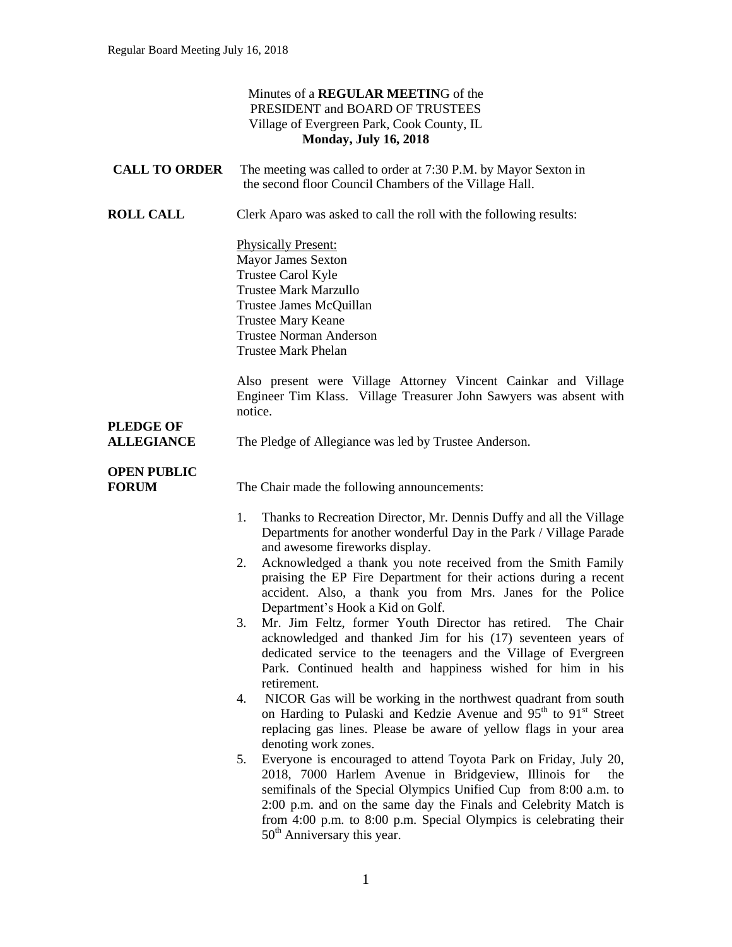|                                       | Minutes of a REGULAR MEETING of the<br>PRESIDENT and BOARD OF TRUSTEES                                                                                                                                                                                                            |
|---------------------------------------|-----------------------------------------------------------------------------------------------------------------------------------------------------------------------------------------------------------------------------------------------------------------------------------|
|                                       | Village of Evergreen Park, Cook County, IL<br><b>Monday, July 16, 2018</b>                                                                                                                                                                                                        |
| <b>CALL TO ORDER</b>                  | The meeting was called to order at 7:30 P.M. by Mayor Sexton in<br>the second floor Council Chambers of the Village Hall.                                                                                                                                                         |
| <b>ROLL CALL</b>                      | Clerk Aparo was asked to call the roll with the following results:                                                                                                                                                                                                                |
|                                       | <b>Physically Present:</b><br><b>Mayor James Sexton</b><br>Trustee Carol Kyle<br><b>Trustee Mark Marzullo</b><br>Trustee James McQuillan<br><b>Trustee Mary Keane</b><br><b>Trustee Norman Anderson</b><br><b>Trustee Mark Phelan</b>                                             |
|                                       | Also present were Village Attorney Vincent Cainkar and Village<br>Engineer Tim Klass. Village Treasurer John Sawyers was absent with<br>notice.                                                                                                                                   |
| <b>PLEDGE OF</b><br><b>ALLEGIANCE</b> | The Pledge of Allegiance was led by Trustee Anderson.                                                                                                                                                                                                                             |
| <b>OPEN PUBLIC</b><br><b>FORUM</b>    | The Chair made the following announcements:                                                                                                                                                                                                                                       |
|                                       | Thanks to Recreation Director, Mr. Dennis Duffy and all the Village<br>1.<br>Departments for another wonderful Day in the Park / Village Parade<br>and awesome fireworks display.                                                                                                 |
|                                       | Acknowledged a thank you note received from the Smith Family<br>2.<br>praising the EP Fire Department for their actions during a recent<br>accident. Also, a thank you from Mrs. Janes for the Police<br>Department's Hook a Kid on Golf.                                         |
|                                       | Mr. Jim Feltz, former Youth Director has retired. The Chair<br>3.<br>acknowledged and thanked Jim for his (17) seventeen years of<br>dedicated service to the teenagers and the Village of Evergreen<br>Park. Continued health and happiness wished for him in his<br>retirement. |
|                                       | NICOR Gas will be working in the northwest quadrant from south<br>4.<br>on Harding to Pulaski and Kedzie Avenue and 95 <sup>th</sup> to 91 <sup>st</sup> Street<br>replacing gas lines. Please be aware of yellow flags in your area                                              |

denoting work zones. 5. Everyone is encouraged to attend Toyota Park on Friday, July 20, 2018, 7000 Harlem Avenue in Bridgeview, Illinois for the semifinals of the Special Olympics Unified Cup from 8:00 a.m. to 2:00 p.m. and on the same day the Finals and Celebrity Match is from 4:00 p.m. to 8:00 p.m. Special Olympics is celebrating their 50<sup>th</sup> Anniversary this year.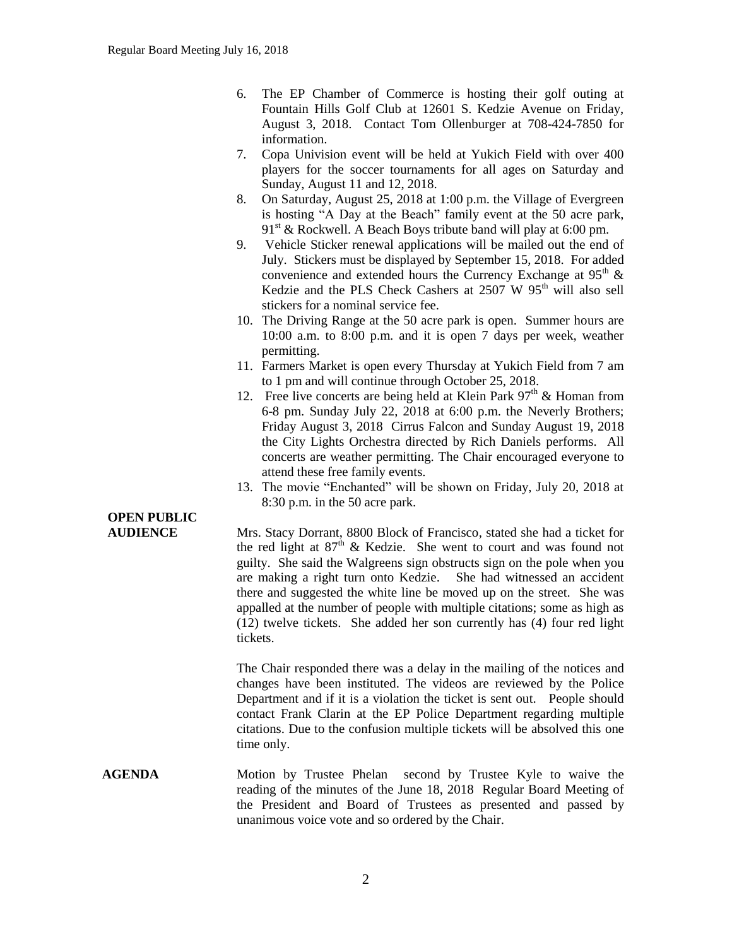- 6. The EP Chamber of Commerce is hosting their golf outing at Fountain Hills Golf Club at 12601 S. Kedzie Avenue on Friday, August 3, 2018. Contact Tom Ollenburger at 708-424-7850 for information.
- 7. Copa Univision event will be held at Yukich Field with over 400 players for the soccer tournaments for all ages on Saturday and Sunday, August 11 and 12, 2018.
- 8. On Saturday, August 25, 2018 at 1:00 p.m. the Village of Evergreen is hosting "A Day at the Beach" family event at the 50 acre park,  $91<sup>st</sup>$  & Rockwell. A Beach Boys tribute band will play at 6:00 pm.
- 9. Vehicle Sticker renewal applications will be mailed out the end of July. Stickers must be displayed by September 15, 2018. For added convenience and extended hours the Currency Exchange at  $95<sup>th</sup>$  & Kedzie and the PLS Check Cashers at  $2507 \text{ W } 95^{\text{th}}$  will also sell stickers for a nominal service fee.
- 10. The Driving Range at the 50 acre park is open. Summer hours are 10:00 a.m. to 8:00 p.m. and it is open 7 days per week, weather permitting.
- 11. Farmers Market is open every Thursday at Yukich Field from 7 am to 1 pm and will continue through October 25, 2018.
- 12. Free live concerts are being held at Klein Park  $97<sup>th</sup>$  & Homan from 6-8 pm. Sunday July 22, 2018 at 6:00 p.m. the Neverly Brothers; Friday August 3, 2018 Cirrus Falcon and Sunday August 19, 2018 the City Lights Orchestra directed by Rich Daniels performs. All concerts are weather permitting. The Chair encouraged everyone to attend these free family events.
- 13. The movie "Enchanted" will be shown on Friday, July 20, 2018 at 8:30 p.m. in the 50 acre park.

# **OPEN PUBLIC**

**AUDIENCE** Mrs. Stacy Dorrant, 8800 Block of Francisco, stated she had a ticket for the red light at  $87<sup>th</sup>$  & Kedzie. She went to court and was found not guilty. She said the Walgreens sign obstructs sign on the pole when you are making a right turn onto Kedzie. She had witnessed an accident there and suggested the white line be moved up on the street. She was appalled at the number of people with multiple citations; some as high as (12) twelve tickets. She added her son currently has (4) four red light tickets.

> The Chair responded there was a delay in the mailing of the notices and changes have been instituted. The videos are reviewed by the Police Department and if it is a violation the ticket is sent out. People should contact Frank Clarin at the EP Police Department regarding multiple citations. Due to the confusion multiple tickets will be absolved this one time only.

**AGENDA** Motion by Trustee Phelan second by Trustee Kyle to waive the reading of the minutes of the June 18, 2018 Regular Board Meeting of the President and Board of Trustees as presented and passed by unanimous voice vote and so ordered by the Chair.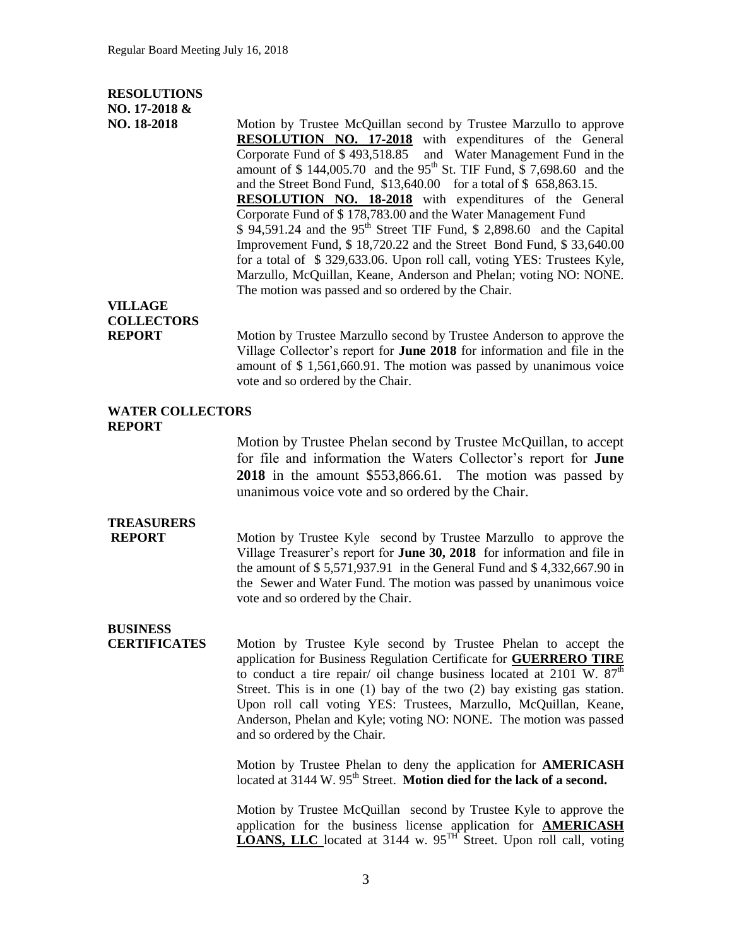#### **RESOLUTIONS NO. 17-2018 &**

**NO. 18-2018** Motion by Trustee McQuillan second by Trustee Marzullo to approve RESOLUTION NO. 17-2018 with expenditures of the General Corporate Fund of \$ 493,518.85 and Water Management Fund in the amount of \$ 144,005.70 and the 95<sup>th</sup> St. TIF Fund,  $\frac{6}{9}$  7,698.60 and the and the Street Bond Fund, \$13,640.00 for a total of \$ 658,863.15. **RESOLUTION NO. 18-2018** with expenditures of the General Corporate Fund of \$ 178,783.00 and the Water Management Fund  $$ 94,591.24$  and the 95<sup>th</sup> Street TIF Fund,  $$ 2,898.60$  and the Capital Improvement Fund, \$ 18,720.22 and the Street Bond Fund, \$ 33,640.00 for a total of \$ 329,633.06. Upon roll call, voting YES: Trustees Kyle, Marzullo, McQuillan, Keane, Anderson and Phelan; voting NO: NONE. The motion was passed and so ordered by the Chair.

### **VILLAGE COLLECTORS**

**REPORT** Motion by Trustee Marzullo second by Trustee Anderson to approve the Village Collector's report for **June 2018** for information and file in the amount of \$ 1,561,660.91. The motion was passed by unanimous voice vote and so ordered by the Chair.

#### **WATER COLLECTORS REPORT**

Motion by Trustee Phelan second by Trustee McQuillan, to accept for file and information the Waters Collector's report for **June 2018** in the amount \$553,866.61. The motion was passed by unanimous voice vote and so ordered by the Chair.

## **TREASURERS**

**REPORT** Motion by Trustee Kyle second by Trustee Marzullo to approve the Village Treasurer's report for **June 30, 2018** for information and file in the amount of \$ 5,571,937.91 in the General Fund and \$ 4,332,667.90 in the Sewer and Water Fund. The motion was passed by unanimous voice vote and so ordered by the Chair.

### **BUSINESS**

**CERTIFICATES** Motion by Trustee Kyle second by Trustee Phelan to accept the application for Business Regulation Certificate for **GUERRERO TIRE** to conduct a tire repair/ oil change business located at 2101 W.  $87<sup>th</sup>$ Street. This is in one (1) bay of the two (2) bay existing gas station. Upon roll call voting YES: Trustees, Marzullo, McQuillan, Keane, Anderson, Phelan and Kyle; voting NO: NONE. The motion was passed and so ordered by the Chair.

> Motion by Trustee Phelan to deny the application for **AMERICASH**  located at 3144 W. 95<sup>th</sup> Street. **Motion died for the lack of a second.**

> Motion by Trustee McQuillan second by Trustee Kyle to approve the application for the business license application for **AMERICASH LOANS, LLC** located at 3144 w. 95<sup>TH</sup> Street. Upon roll call, voting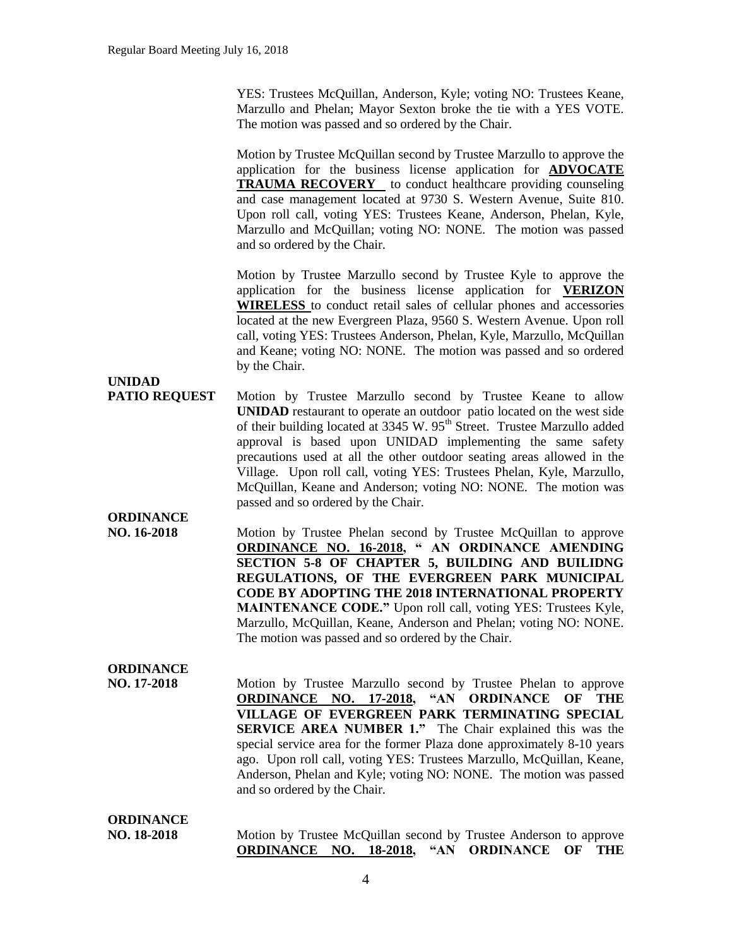YES: Trustees McQuillan, Anderson, Kyle; voting NO: Trustees Keane, Marzullo and Phelan; Mayor Sexton broke the tie with a YES VOTE. The motion was passed and so ordered by the Chair.

Motion by Trustee McQuillan second by Trustee Marzullo to approve the application for the business license application for **ADVOCATE TRAUMA RECOVERY** to conduct healthcare providing counseling and case management located at 9730 S. Western Avenue, Suite 810. Upon roll call, voting YES: Trustees Keane, Anderson, Phelan, Kyle, Marzullo and McQuillan; voting NO: NONE. The motion was passed and so ordered by the Chair.

Motion by Trustee Marzullo second by Trustee Kyle to approve the application for the business license application for **VERIZON WIRELESS** to conduct retail sales of cellular phones and accessories located at the new Evergreen Plaza, 9560 S. Western Avenue. Upon roll call, voting YES: Trustees Anderson, Phelan, Kyle, Marzullo, McQuillan and Keane; voting NO: NONE. The motion was passed and so ordered by the Chair.

#### **UNIDAD**

**PATIO REQUEST** Motion by Trustee Marzullo second by Trustee Keane to allow **UNIDAD** restaurant to operate an outdoor patio located on the west side of their building located at  $3345 \text{ W}$ .  $95^{\text{th}}$  Street. Trustee Marzullo added approval is based upon UNIDAD implementing the same safety precautions used at all the other outdoor seating areas allowed in the Village. Upon roll call, voting YES: Trustees Phelan, Kyle, Marzullo, McQuillan, Keane and Anderson; voting NO: NONE. The motion was passed and so ordered by the Chair.

**ORDINANCE**

**NO. 16-2018** Motion by Trustee Phelan second by Trustee McQuillan to approve **ORDINANCE NO. 16-2018, " AN ORDINANCE AMENDING SECTION 5-8 OF CHAPTER 5, BUILDING AND BUILIDNG REGULATIONS, OF THE EVERGREEN PARK MUNICIPAL CODE BY ADOPTING THE 2018 INTERNATIONAL PROPERTY MAINTENANCE CODE."** Upon roll call, voting YES: Trustees Kyle, Marzullo, McQuillan, Keane, Anderson and Phelan; voting NO: NONE. The motion was passed and so ordered by the Chair.

### **ORDINANCE**

**NO. 17-2018** Motion by Trustee Marzullo second by Trustee Phelan to approve **ORDINANCE NO. 17-2018, "AN ORDINANCE OF THE VILLAGE OF EVERGREEN PARK TERMINATING SPECIAL SERVICE AREA NUMBER 1."** The Chair explained this was the special service area for the former Plaza done approximately 8-10 years ago. Upon roll call, voting YES: Trustees Marzullo, McQuillan, Keane, Anderson, Phelan and Kyle; voting NO: NONE. The motion was passed and so ordered by the Chair.

# **ORDINANCE**

**NO. 18-2018** Motion by Trustee McQuillan second by Trustee Anderson to approve **ORDINANCE NO. 18-2018, "AN ORDINANCE OF THE**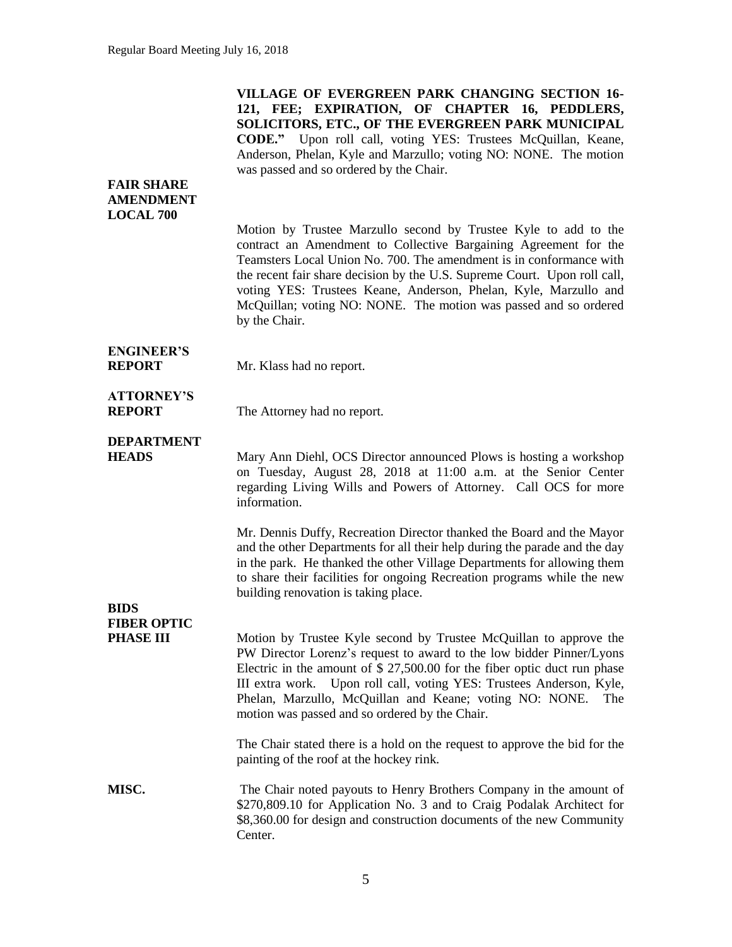| <b>FAIR SHARE</b><br><b>AMENDMENT</b>                 | VILLAGE OF EVERGREEN PARK CHANGING SECTION 16-<br>121, FEE; EXPIRATION, OF CHAPTER 16, PEDDLERS,<br>SOLICITORS, ETC., OF THE EVERGREEN PARK MUNICIPAL<br>CODE." Upon roll call, voting YES: Trustees McQuillan, Keane,<br>Anderson, Phelan, Kyle and Marzullo; voting NO: NONE. The motion<br>was passed and so ordered by the Chair.                                                                                                            |
|-------------------------------------------------------|--------------------------------------------------------------------------------------------------------------------------------------------------------------------------------------------------------------------------------------------------------------------------------------------------------------------------------------------------------------------------------------------------------------------------------------------------|
| <b>LOCAL 700</b>                                      | Motion by Trustee Marzullo second by Trustee Kyle to add to the<br>contract an Amendment to Collective Bargaining Agreement for the<br>Teamsters Local Union No. 700. The amendment is in conformance with<br>the recent fair share decision by the U.S. Supreme Court. Upon roll call,<br>voting YES: Trustees Keane, Anderson, Phelan, Kyle, Marzullo and<br>McQuillan; voting NO: NONE. The motion was passed and so ordered<br>by the Chair. |
| <b>ENGINEER'S</b><br><b>REPORT</b>                    | Mr. Klass had no report.                                                                                                                                                                                                                                                                                                                                                                                                                         |
| <b>ATTORNEY'S</b><br><b>REPORT</b>                    | The Attorney had no report.                                                                                                                                                                                                                                                                                                                                                                                                                      |
| <b>DEPARTMENT</b><br><b>HEADS</b>                     | Mary Ann Diehl, OCS Director announced Plows is hosting a workshop<br>on Tuesday, August 28, 2018 at 11:00 a.m. at the Senior Center<br>regarding Living Wills and Powers of Attorney. Call OCS for more<br>information.                                                                                                                                                                                                                         |
|                                                       | Mr. Dennis Duffy, Recreation Director thanked the Board and the Mayor<br>and the other Departments for all their help during the parade and the day<br>in the park. He thanked the other Village Departments for allowing them<br>to share their facilities for ongoing Recreation programs while the new<br>building renovation is taking place.                                                                                                |
| <b>BIDS</b><br><b>FIBER OPTIC</b><br><b>PHASE III</b> | Motion by Trustee Kyle second by Trustee McQuillan to approve the<br>PW Director Lorenz's request to award to the low bidder Pinner/Lyons<br>Electric in the amount of $$27,500.00$ for the fiber optic duct run phase<br>III extra work. Upon roll call, voting YES: Trustees Anderson, Kyle,<br>Phelan, Marzullo, McQuillan and Keane; voting NO: NONE.<br>The<br>motion was passed and so ordered by the Chair.                               |
|                                                       | The Chair stated there is a hold on the request to approve the bid for the<br>painting of the roof at the hockey rink.                                                                                                                                                                                                                                                                                                                           |
| MISC.                                                 | The Chair noted payouts to Henry Brothers Company in the amount of<br>\$270,809.10 for Application No. 3 and to Craig Podalak Architect for<br>\$8,360.00 for design and construction documents of the new Community<br>Center.                                                                                                                                                                                                                  |